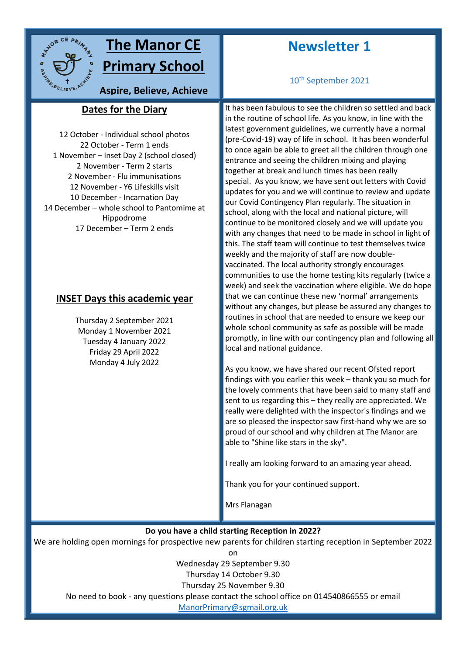

# **The Manor CE Primary School**

**Aspire, Believe, Achieve**

# **Dates for the Diary sky**

12 October - Individual school photos 22 October - Term 1 ends 1 November – Inset Day 2 (school closed) 2 November - Term 2 starts 2 November - Flu immunisations 12 November - Y6 Lifeskills visit 10 December - Incarnation Day 14 December – whole school to Pantomime at Hippodrome 17 December – Term 2 ends

## **INSET Days this academic year**

Thursday 2 September 2021 Monday 1 November 2021 Tuesday 4 January 2022 Friday 29 April 2022 Monday 4 July 2022

# **Newsletter 1**

10th September 2021

It has been fabulous to see the children so settled and back in the routine of school life. As you know, in line with the latest government guidelines, we currently have a normal (pre-Covid-19) way of life in school. It has been wonderful to once again be able to greet all the children through one entrance and seeing the children mixing and playing together at break and lunch times has been really special. As you know, we have sent out letters with Covid updates for you and we will continue to review and update our Covid Contingency Plan regularly. The situation in school, along with the local and national picture, will continue to be monitored closely and we will update you with any changes that need to be made in school in light of this. The staff team will continue to test themselves twice weekly and the majority of staff are now doublevaccinated. The local authority strongly encourages communities to use the home testing kits regularly (twice a week) and seek the vaccination where eligible. We do hope that we can continue these new 'normal' arrangements without any changes, but please be assured any changes to routines in school that are needed to ensure we keep our whole school community as safe as possible will be made promptly, in line with our contingency plan and following all local and national guidance.

As you know, we have shared our recent Ofsted report findings with you earlier this week – thank you so much for the lovely comments that have been said to many staff and sent to us regarding this – they really are appreciated. We really were delighted with the inspector's findings and we are so pleased the inspector saw first-hand why we are so proud of our school and why children at The Manor are able to "Shine like stars in the sky".

I really am looking forward to an amazing year ahead.

Thank you for your continued support.

Mrs Flanagan

#### **Do you have a child starting Reception in 2022?**

We are holding open mornings for prospective new parents for children starting reception in September 2022

on

Wednesday 29 September 9.30

Thursday 14 October 9.30

Thursday 25 November 9.30

No need to book - any questions please contact the school office on 014540866555 or email

[ManorPrimary@sgmail.org.uk](mailto:ManorPrimary@sgmail.org.uk)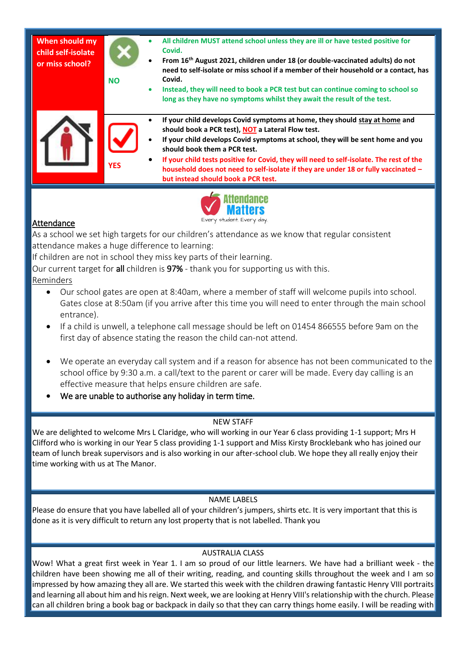| When should my<br>child self-isolate<br>or miss school? | <b>NO</b>  | All children MUST attend school unless they are ill or have tested positive for<br>$\bullet$<br>Covid.<br>From 16 <sup>th</sup> August 2021, children under 18 (or double-vaccinated adults) do not<br>$\bullet$<br>need to self-isolate or miss school if a member of their household or a contact, has<br>Covid.<br>Instead, they will need to book a PCR test but can continue coming to school so<br>$\bullet$<br>long as they have no symptoms whilst they await the result of the test. |
|---------------------------------------------------------|------------|-----------------------------------------------------------------------------------------------------------------------------------------------------------------------------------------------------------------------------------------------------------------------------------------------------------------------------------------------------------------------------------------------------------------------------------------------------------------------------------------------|
|                                                         | <b>YES</b> | If your child develops Covid symptoms at home, they should stay at home and<br>should book a PCR test), NOT a Lateral Flow test.<br>If your child develops Covid symptoms at school, they will be sent home and you<br>should book them a PCR test.<br>If your child tests positive for Covid, they will need to self-isolate. The rest of the<br>household does not need to self-isolate if they are under 18 or fully vaccinated -<br>but instead should book a PCR test.                   |
|                                                         |            |                                                                                                                                                                                                                                                                                                                                                                                                                                                                                               |



### **Attendance**

As a school we set high targets for our children's attendance as we know that regular consistent attendance makes a huge difference to learning:

If children are not in school they miss key parts of their learning.

Our current target for all children is 97% - thank you for supporting us with this.

Reminders

- Our school gates are open at 8:40am, where a member of staff will welcome pupils into school. Gates close at 8:50am (if you arrive after this time you will need to enter through the main school entrance).
- If a child is unwell, a telephone call message should be left on 01454 866555 before 9am on the first day of absence stating the reason the child can-not attend.
- We operate an everyday call system and if a reason for absence has not been communicated to the school office by 9:30 a.m. a call/text to the parent or carer will be made. Every day calling is an effective measure that helps ensure children are safe.
- We are unable to authorise any holiday in term time.

#### NEW STAFF

We are delighted to welcome Mrs L Claridge, who will working in our Year 6 class providing 1-1 support; Mrs H Clifford who is working in our Year 5 class providing 1-1 support and Miss Kirsty Brocklebank who has joined our team of lunch break supervisors and is also working in our after-school club. We hope they all really enjoy their time working with us at The Manor.

#### NAME LABELS

Please do ensure that you have labelled all of your children's jumpers, shirts etc. It is very important that this is done as it is very difficult to return any lost property that is not labelled. Thank you

#### AUSTRALIA CLASS

Wow! What a great first week in Year 1. I am so proud of our little learners. We have had a brilliant week - the children have been showing me all of their writing, reading, and counting skills throughout the week and I am so impressed by how amazing they all are. We started this week with the children drawing fantastic Henry VIII portraits and learning all about him and his reign. Next week, we are looking at Henry VIII's relationship with the church. Please can all children bring a book bag or backpack in daily so that they can carry things home easily. I will be reading with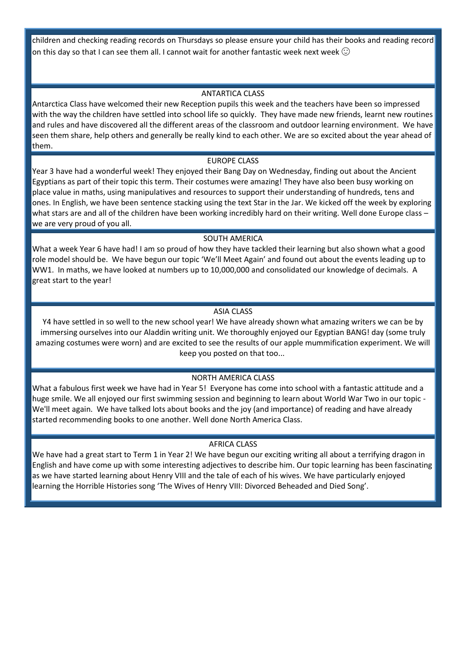children and checking reading records on Thursdays so please ensure your child has their books and reading record on this day so that I can see them all. I cannot wait for another fantastic week next week  $\odot$ 

#### ANTARTICA CLASS

Antarctica Class have welcomed their new Reception pupils this week and the teachers have been so impressed with the way the children have settled into school life so quickly. They have made new friends, learnt new routines and rules and have discovered all the different areas of the classroom and outdoor learning environment. We have seen them share, help others and generally be really kind to each other. We are so excited about the year ahead of them.

#### EUROPE CLASS

Year 3 have had a wonderful week! They enjoyed their Bang Day on Wednesday, finding out about the Ancient Egyptians as part of their topic this term. Their costumes were amazing! They have also been busy working on place value in maths, using manipulatives and resources to support their understanding of hundreds, tens and ones. In English, we have been sentence stacking using the text Star in the Jar. We kicked off the week by exploring what stars are and all of the children have been working incredibly hard on their writing. Well done Europe class – we are very proud of you all.

#### SOUTH AMERICA

What a week Year 6 have had! I am so proud of how they have tackled their learning but also shown what a good role model should be. We have begun our topic 'We'll Meet Again' and found out about the events leading up to WW1. In maths, we have looked at numbers up to 10,000,000 and consolidated our knowledge of decimals. A great start to the year!

#### ASIA CLASS

Y4 have settled in so well to the new school year! We have already shown what amazing writers we can be by immersing ourselves into our Aladdin writing unit. We thoroughly enjoyed our Egyptian BANG! day (some truly amazing costumes were worn) and are excited to see the results of our apple mummification experiment. We will keep you posted on that too...

#### NORTH AMERICA CLASS

What a fabulous first week we have had in Year 5! Everyone has come into school with a fantastic attitude and a huge smile. We all enjoyed our first swimming session and beginning to learn about World War Two in our topic - We'll meet again. We have talked lots about books and the joy (and importance) of reading and have already started recommending books to one another. Well done North America Class.

#### AFRICA CLASS

We have had a great start to Term 1 in Year 2! We have begun our exciting writing all about a terrifying dragon in English and have come up with some interesting adjectives to describe him. Our topic learning has been fascinating as we have started learning about Henry VIII and the tale of each of his wives. We have particularly enjoyed learning the Horrible Histories song 'The Wives of Henry VIII: Divorced Beheaded and Died Song'.